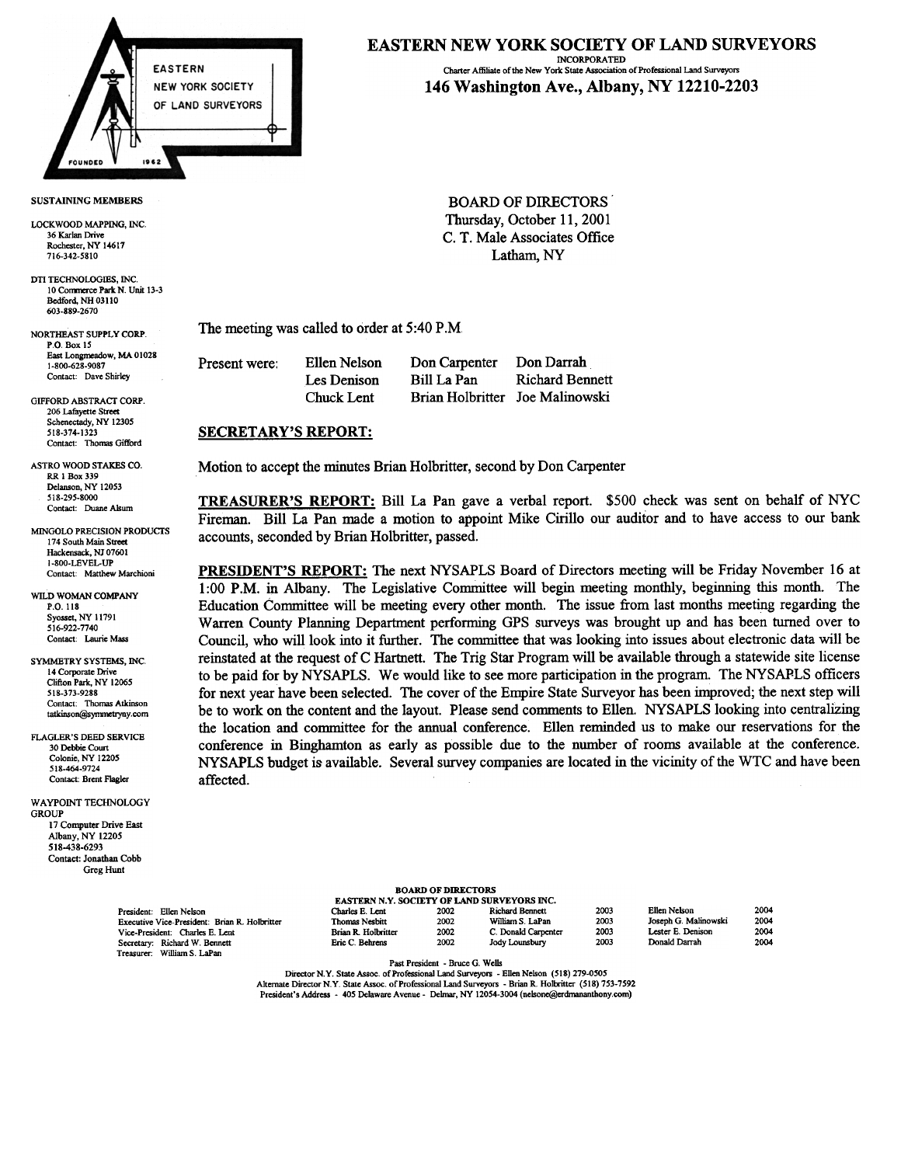

### SUSTAINING MEMBERS

LOCKWOOD MAPPING, INC 36 Karlan Drive Rochester, NY 14617 716-342-5810

DTI TECHNOLOGIES, INC. 10 Commerce Park N. Unit 13-3 Bedford, NH 03110 603-889-2670

NORTHEAST SUPPLY CORP. P.O. Box 15 East Longmeadow, MA 01028 1-800-628-9087 Contact: Dave Shirley

GIFFORD ABSTRACT CORP. 206 Lafayette Stre Schenectady, NY 12305 518-374-1323 Contact: Thomas Gifford

RR 1 Box 339 Delanson, NY 12053 518-295-8000

174 South Main Street Hackensack, NI 0760 I 1-800-LEVEL-UP<br>Contact: Matthew Marchioni

WILD WOMAN COMPANY P.O. 118 Syosset, NY 11791 516-922-7740 Contact: Laurie Mass

SYMMETRY SYSTEMS, INC 14 Corporate Drive Clifton Park, NY 12065 518-373-9288 Contact: Thomas Atkinson tatkinson@symmetryny.com

FLAGLER'S DEED SERVICE 30 Debbie Court Colonic, NY 12205 518-464-9724 Contact: Brent Flagler

WAVPOINT TECHNOLOGY **GROUP** 17 Computer Drive East Albany, NY 12205 518-438-6293 Contact: Jonathan Cobb Greg Hunt

Treasurer: William S. LaPan

#### EASTERN NEW YORK SOCIETY OF LAND SURVEYORS INCORPORATED Charter Affiliate of the New York State Association of Professional Land Surveyors

# 146 Washington Ave., Albany, NY 12210-2203

BOARD OF DIRECTORS' Thursday, October 11,2001 C. T. Male Associates Office Latham, NY

The meeting was called to order at 5:40 P.M

| Present were: | Ellen Nelson | Don Carpenter                   | Don Darrah             |
|---------------|--------------|---------------------------------|------------------------|
|               | Les Denison  | Bill La Pan                     | <b>Richard Bennett</b> |
|               | Chuck Lent   | Brian Holbritter Joe Malinowski |                        |

### SECRETARY'S REPORT:

ASTRO WOOD STAKES CO. Motion to accept the minutes Brian Holbritter, second by Don Carpenter

TREASURER'S REPORT: Bill La Pan gave a verbal report. \$500 check was sent on behalf of NYC Fireman. Bill La Pan made a motion to appoint Mike Cirillo our auditor and to have access to our bank MINGOLO PRECISION PRODUCTS<br>174 South Main Street. Accounts, seconded by Brian Holbritter, passed.

> PRESIDENT'S REPORT: The next NYSAPLS Board of Directors meeting will be Friday November 16 at 1 :00 P.M. in Albany. The Legislative Committee will begin meeting monthly, beginning this month. The Education Committee will be meeting every other month. The issue from last months meeting regarding the Warren County Planning Department performing GPS surveys was brought up and has been turned over to Council, who will look into it further. The committee that was looking into issues about electronic data will be reinstated at the request of C Hartnett. The Trig Star Program will be available through a statewide site license to be paid for by NYSAPLS. We would like to see more participation in the program. The NYSAPLS officers for next year have been selected. The cover of the Empire State Surveyor has been improved; the next step will be to work on the content and the layout. Please send comments to Ellen. NYSAPLS looking into centralizing the location and committee for the annual conference. Ellen reminded us to make our reservations for the conference in Binghamton as early as possible due to the number of rooms available at the conference. NYSAPLS budget is available. Several survey companies are located in the vicinity of the WTC and have been affected.

| <b>BOARD OF DIRECTORS</b>                  |  |
|--------------------------------------------|--|
| EASTERN N.Y. SOCIETY OF LAND SURVEYORS INC |  |

| Charles E. Lent       | 2002 | <b>Richard Bennett</b> | 2003 |
|-----------------------|------|------------------------|------|
| <b>Thomas Nesbitt</b> | 2002 | William S. LaPan       | 2003 |
| Brian R. Holbritter   | 2002 | C. Donald Carpenter    | 2003 |
| Eric C. Behrens       | 2002 | Jody Lounsbury         | 2003 |
|                       |      |                        |      |

| EYORS INC.      |  |  |  |
|-----------------|--|--|--|
| rd Bennett      |  |  |  |
| ım S. LaPan     |  |  |  |
| onald Carpenter |  |  |  |
| Lovechurr       |  |  |  |

| Ellen Nelson         | $\overline{2}$ |
|----------------------|----------------|
| Joseph G. Malinowski | 21             |
| Lester E. Denison    | 20             |
| Donald Darrah        | 21             |

Past President -Bruce G Wells

Director N.Y. State Assoc. of Professional Land Surveyors - Ellen Nelson (518) 279-0505 Alternate Director N.Y. State Assoc. of Professional Land Surveyors - Brian R. Holbritter (518) 753-7592 President's Address - 405 Delaware Avenue - Delmar, NY 12054-3004 (nelsone@erdrnananthony.com)